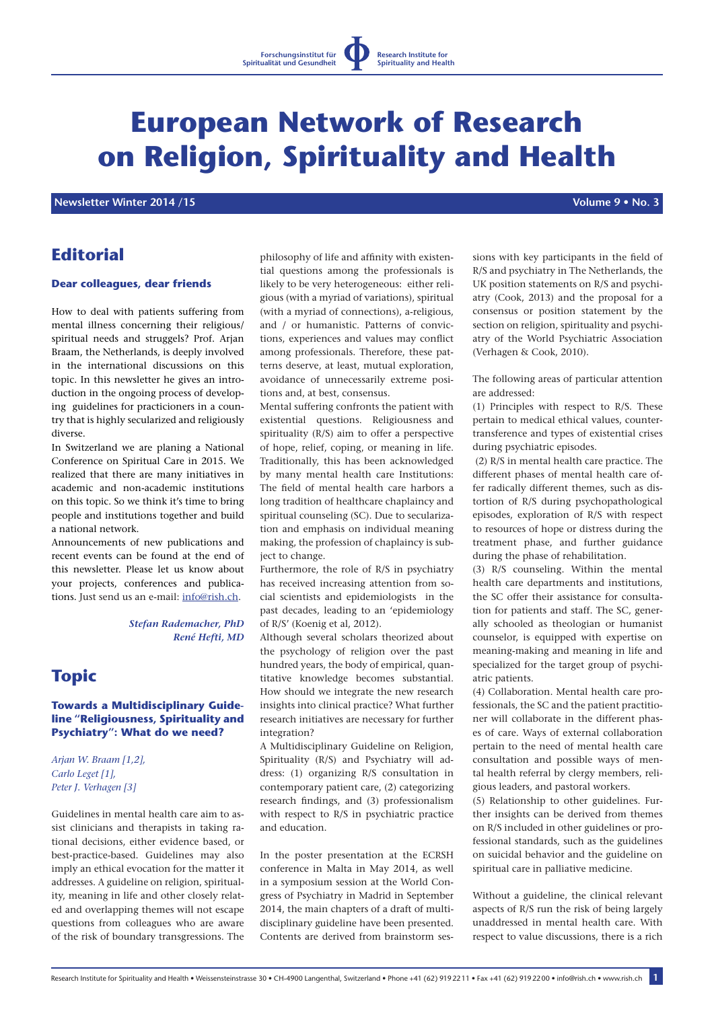# **European Network of Research on Religion, Spirituality and Health**

**Newsletter Winter 2014 /15** No. 3 **Newsletter Winter 2014 /15** 

# **Editorial**

## **Dear colleagues, dear friends**

How to deal with patients suffering from mental illness concerning their religious/ spiritual needs and struggels? Prof. Arjan Braam, the Netherlands, is deeply involved in the international discussions on this topic. In this newsletter he gives an introduction in the ongoing process of developing guidelines for practicioners in a country that is highly secularized and religiously diverse.

In Switzerland we are planing a National Conference on Spiritual Care in 2015. We realized that there are many initiatives in academic and non-academic institutions on this topic. So we think it's time to bring people and institutions together and build a national network.

Announcements of new publications and recent events can be found at the end of this newsletter. Please let us know about your projects, conferences and publications. Just send us an e-mail: info@rish.ch.

> *Stefan Rademacher, PhD René Hefti, MD*

# **Topic**

## **Towards a Multidisciplinary Guideline "Religiousness, Spirituality and Psychiatry": What do we need?**

*Arjan W. Braam [1,2], Carlo Leget [1], Peter J. Verhagen [3]*

Guidelines in mental health care aim to assist clinicians and therapists in taking rational decisions, either evidence based, or best-practice-based. Guidelines may also imply an ethical evocation for the matter it addresses. A guideline on religion, spirituality, meaning in life and other closely related and overlapping themes will not escape questions from colleagues who are aware of the risk of boundary transgressions. The philosophy of life and affinity with existential questions among the professionals is likely to be very heterogeneous: either religious (with a myriad of variations), spiritual (with a myriad of connections), a-religious, and / or humanistic. Patterns of convictions, experiences and values may conflict among professionals. Therefore, these patterns deserve, at least, mutual exploration, avoidance of unnecessarily extreme positions and, at best, consensus.

Mental suffering confronts the patient with existential questions. Religiousness and spirituality (R/S) aim to offer a perspective of hope, relief, coping, or meaning in life. Traditionally, this has been acknowledged by many mental health care Institutions: The field of mental health care harbors a long tradition of healthcare chaplaincy and spiritual counseling (SC). Due to secularization and emphasis on individual meaning making, the profession of chaplaincy is subject to change.

Furthermore, the role of R/S in psychiatry has received increasing attention from social scientists and epidemiologists in the past decades, leading to an 'epidemiology of R/S' (Koenig et al, 2012).

Although several scholars theorized about the psychology of religion over the past hundred years, the body of empirical, quantitative knowledge becomes substantial. How should we integrate the new research insights into clinical practice? What further research initiatives are necessary for further integration?

A Multidisciplinary Guideline on Religion, Spirituality (R/S) and Psychiatry will address: (1) organizing R/S consultation in contemporary patient care, (2) categorizing research findings, and (3) professionalism with respect to R/S in psychiatric practice and education.

In the poster presentation at the ECRSH conference in Malta in May 2014, as well in a symposium session at the World Congress of Psychiatry in Madrid in September 2014, the main chapters of a draft of multidisciplinary guideline have been presented. Contents are derived from brainstorm sessions with key participants in the field of R/S and psychiatry in The Netherlands, the UK position statements on R/S and psychiatry (Cook, 2013) and the proposal for a consensus or position statement by the section on religion, spirituality and psychiatry of the World Psychiatric Association (Verhagen & Cook, 2010).

The following areas of particular attention are addressed:

(1) Principles with respect to R/S. These pertain to medical ethical values, countertransference and types of existential crises during psychiatric episodes.

 (2) R/S in mental health care practice. The different phases of mental health care offer radically different themes, such as distortion of R/S during psychopathological episodes, exploration of R/S with respect to resources of hope or distress during the treatment phase, and further guidance during the phase of rehabilitation.

(3) R/S counseling. Within the mental health care departments and institutions, the SC offer their assistance for consultation for patients and staff. The SC, generally schooled as theologian or humanist counselor, is equipped with expertise on meaning-making and meaning in life and specialized for the target group of psychiatric patients.

(4) Collaboration. Mental health care professionals, the SC and the patient practitioner will collaborate in the different phases of care. Ways of external collaboration pertain to the need of mental health care consultation and possible ways of mental health referral by clergy members, religious leaders, and pastoral workers.

(5) Relationship to other guidelines. Further insights can be derived from themes on R/S included in other guidelines or professional standards, such as the guidelines on suicidal behavior and the guideline on spiritual care in palliative medicine.

Without a guideline, the clinical relevant aspects of R/S run the risk of being largely unaddressed in mental health care. With respect to value discussions, there is a rich